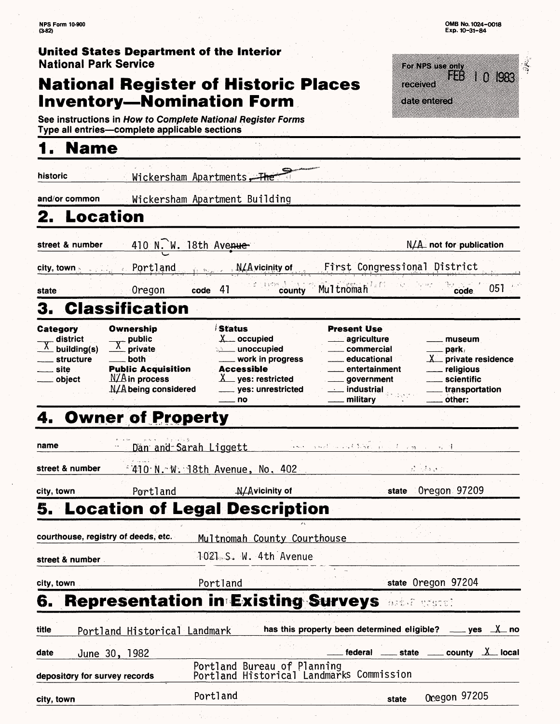||感受 m)<br>||語*戦*||8]

**IOR3** 

 $\mathbf{1} \cdot \mathbf{0}$ 

museum park/  $X$  private residence religious scientific transportation

other:

**NFS Form 10-900 (3-82) United States Department of the Interior** National Park Service For NPS use only **National Register of Historic Places**  received **Inventory—Nomination Form** date entered **See instructions in How to Complete National Register Forms Type ail entries—complete applicable sections\_\_\_\_\_\_\_\_\_\_\_\_\_\_\_ 1. Name historic** Wickersham Apartments **and/or common** Wickersham Apartment Building **2. Location** street & number 410 N. W. 18th Avenue. pity, town *'.* Portland vicinity of First Congresstonal District **state** code 41 **county** MultnSfriah **code** 051 3. Classification **Category Ownership** Status Present Use  $\overline{X}$  district public  $X$  occupied agriculture  $\overline{X}$  private commercial building(s) **. unoccupied** structure both educational work in progress site Public Acquisition Accessible<br> $X$  ves: res entertainment  $N/A$  in process object \_ yes: restricted government N/A being considered yes: unrestricted <u>...</u> industrial military . no

# **4. Owner of Property**

|                               | <b>4. Owner of Property</b>                            |                                                             |                                                                         |                                                                 |                   |                                                                                       |  |
|-------------------------------|--------------------------------------------------------|-------------------------------------------------------------|-------------------------------------------------------------------------|-----------------------------------------------------------------|-------------------|---------------------------------------------------------------------------------------|--|
| name                          |                                                        | Dan and Sarah Liggett and the second state of containing to |                                                                         |                                                                 |                   |                                                                                       |  |
| street & number               |                                                        | <u> 410 N. W. 18th Avenue, No. 402</u>                      |                                                                         |                                                                 | in a proposed the |                                                                                       |  |
| city, town                    | <b>Example 19 Portland</b> Portland M/Avicinity of     |                                                             |                                                                         |                                                                 |                   | state Oregon 97209                                                                    |  |
|                               | 5. Location of Legal Description                       |                                                             |                                                                         |                                                                 |                   |                                                                                       |  |
|                               | courthouse, registry of deeds, etc.                    |                                                             | Multnomah County Courthouse                                             |                                                                 |                   |                                                                                       |  |
| street & number.              |                                                        | 1021 S. W. 4th Avenue                                       |                                                                         |                                                                 |                   |                                                                                       |  |
| city, town                    |                                                        | Portland                                                    |                                                                         |                                                                 |                   | state Oregon 97204                                                                    |  |
|                               | <b>6. Representation in Existing Surveys and Caset</b> |                                                             |                                                                         |                                                                 |                   |                                                                                       |  |
| title                         | Portland Historical Landmark                           |                                                             |                                                                         | has this property been determined eligible? ____ yes $\perp$ no |                   |                                                                                       |  |
| date                          | June 30, 1982                                          |                                                             |                                                                         |                                                                 |                   | federal $\frac{1}{\sqrt{1-\frac{1}{2}}}$ state $\frac{1}{\sqrt{1-\frac{1}{2}}}$ local |  |
| depository for survey records |                                                        |                                                             | Portland Bureau of Planning<br>Portland Historical Landmarks Commission |                                                                 |                   |                                                                                       |  |
| city, town                    |                                                        | Portland                                                    |                                                                         |                                                                 | state             | Ocegon 97205                                                                          |  |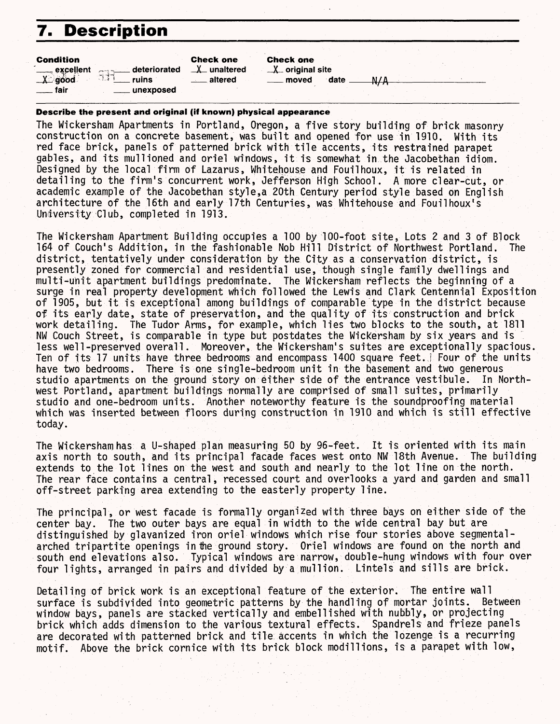## **7. Description**

| <b>Condition</b><br>. excellent | Addressed deteriorated | <b>Check one</b><br><b>∆</b> unaltered | <b>Check one</b><br>$X$ original site |      |  |  |
|---------------------------------|------------------------|----------------------------------------|---------------------------------------|------|--|--|
| <b>X</b> good                   | ruins                  | altered                                | moved                                 | date |  |  |
| fair                            | unexposed              |                                        |                                       |      |  |  |

#### **Describe the present and original (iff known) physical appearance**

The Wickersham Apartments in Portland, Oregon, a five story building of brick masonry construction on a concrete basement, was built and opened for use in 1910. With its red face brick, panels of patterned brick with tile accents, its restrained parapet gables, and its mullioned and oriel windows, it is somewhat in the Jacobethan idiom. Designed by the local firm of Lazarus, Whitehouse and Fouilhoux, it is related in detailing to the firm's concurrent work, Jefferson High School. A more clear-cut, or academic example of the Jacobethan style,a 20th Century period style based on English architecture of the 16th and early 17th Centuries, was Whitehouse and Fouilhoux's University Club, completed in 1913.

The Wickersham Apartment Building occupies a 100 by 100-foot site, Lots 2 and 3 of Block 164 of Couch's Addition, in the fashionable Nob Hill District of Northwest Portland. The district, tentatively under consideration by the City as a conservation district, is presently zoned for commercial and residential use, though single family dwellings and multi-unit apartment buildings predominate. The Wickersham reflects the beginning of a surge in real property development which followed the Lewis and Clark Centennial Exposition of 1905, but it is exceptional among buildings of comparable type in the district because of its early date, state of preservation, and the quality of its construction and brick work detailing. The Tudor Arms, for example, which lies two blocks to the south, at 1811 NW Couch Street, is comparable in type but postdates the Wickersham by six years and is less well-preserved overall. Moreover, the Wickersham's suites are exceptionally spacious. Ten of its 17 units have three bedrooms and encompass 1400 square feet, j Four of the units have two bedrooms. There is one single-bedroom unit in the basement and two generous<br>studio apartments on the ground story on either side of the entrance vestibule. In Northstudio apartments on the ground story on either side of the entrance vestibule. west Portland, apartment buildings normally are comprised of small suites, primarily studio and one-bedroom units. Another noteworthy feature is the soundproofing material which was inserted between floors during construction in 1910 and which is still effective today.

The Wickersham has a U-shaped plan measuring 50 by 96-feet. It is oriented with its main axis north to south, and its principal facade faces west onto NW 18th Avenue. The building extends to the lot lines on the west and south and nearly to the lot line on the north. The rear face contains a central, recessed court and overlooks a yard and garden and small off-street parking area extending to the easterly property line.

The principal, or west facade is formally organized with three bays on either side of the center bay. The two outer bays are equal in width to the wide central bay but are distinguished by glavanized iron oriel windows which rise four stories above segmentalarched tripartite openings in the ground story. Oriel windows are found on the north and south end elevations also. Typical windows are narrow, double-hung windows with four over four lights, arranged in pairs and divided by a mull ion. Lintels and sills are brick.

Detailing of brick work is an exceptional feature of the exterior. The entire wall surface is subdivided into geometric patterns by the handling of mortar joints. Between window bays, panels are stacked vertically and embellished with nubbly, or projecting brick which adds dimension to the various textural effects. Spandrels and frieze panels are decorated with patterned brick and tile accents in which the lozenge is a recurring motif. Above the brick cornice with its brick block modillions, is a parapet with low,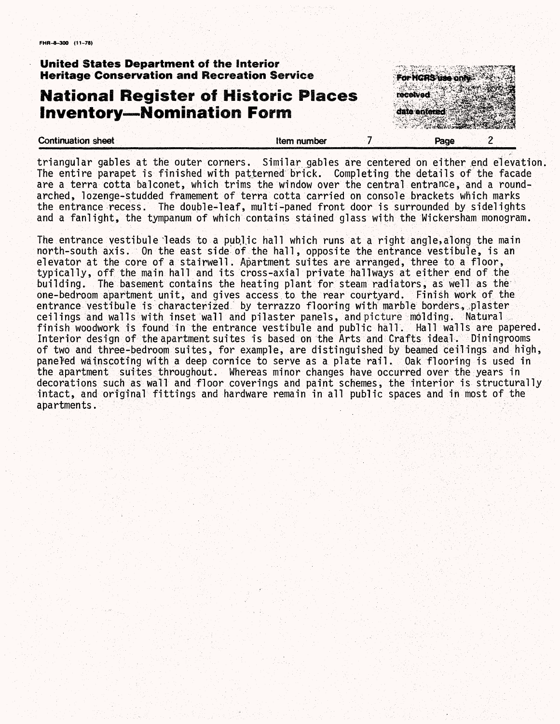### **United States Department of the interior Heritage Conservation and Recreation Service**

## **National** Register of Historic Places **Inventory—Nomination** Form



triangular gables at the outer corners. Similar gables are centered on either end elevation. The entire parapet is finished with patterned brick. Completing the details of the facade are a terra cotta balconet, which trims the window over the central entrance, and a roundarched, lozenge-studded framement of terra cotta carried on console brackets which marks the entrance recess. The double-leaf, multi-paned front door is surrounded by sidelights and a fanlight, the tympanum of which contains stained glass with the Wickersham monogram.

The entrance vestibule leads to a public hall which runs at a right angle, along the main north-south axis. On the east side' of the hall, opposite the entrance vestibule, is an elevator at the core of a stairwell. Apartment suites are arranged, three to a floor, typically, off the main hall and its cross-axial private hallways at either end of the building. The basement contains the heating plant for steam radiators, as well as the one-bedroom apartment unit, and gives access to the rear courtyard. Finish work of the entrance vestibule is characterized by terrazzo flooring with marble borders, plaster ceilings and walls with inset wall and pilaster panels, and picture molding. Natural finish woodwork is found in the entrance vestibule and public hall. Hall walls are papered. Interior design of the apartment suites is based on the Arts and Crafts ideal. Diningrooms of two and three-bedroom suites, for example, are distinguished by beamed ceilings and high, paneled wainscoting with a deep cornice to serve as a plate rail. Oak flooring is used in the apartment suites throughout. Whereas minor changes have occurred over the years in decorations such as wall and floor coverings and paint schemes, the interior is structurally intact, and original fittings and hardware remain in all public spaces and in most of the apartments.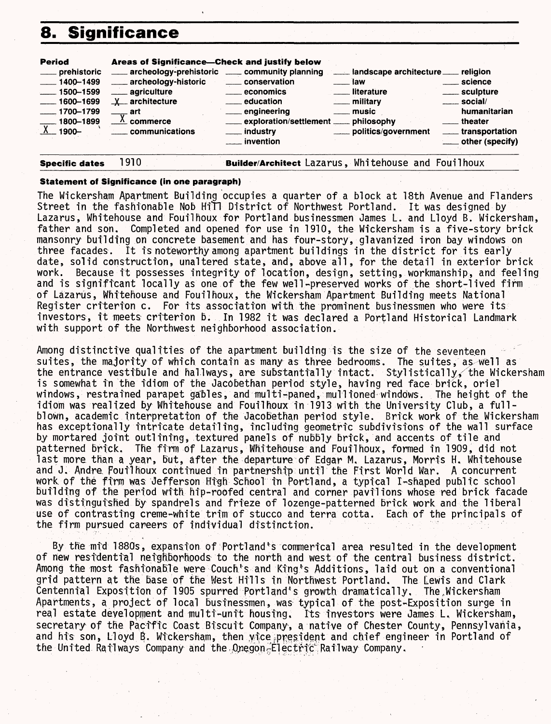## **8. Significance**



#### **Statement of Significance (in one paragraph)**

The Wickersham Apartment Building occupies a quarter of a block at 18th Avenue and Flanders Street in the fashionable Nob Hill District of Northwest Portland. It was designed by Lazarus, Whitehouse and Fouilhoux for Portland businessmen James L. and Lloyd B. Wickersham, father and son. Completed and opened for use in 1910, the Wickersham is a five-story brick mansonry building on concrete basement and has four-story, glavanized iron bay windows on three facades. It is noteworthy among apartment buildings in the district for its early date, solid construction, unaltered state, and, above all , for the detail in exterior brick work. Because it possesses integrity of location,, design, setting, workmanship, and feeling and is significant locally as one of the few well-preserved works of the short-lived firm of Lazarus, Whitehouse and Fouilhoux, the Wickersham Apartment Building meets National Register criterion c. For its association with the prominent businessmen who were its investors, it meets criterion b. In 1982 it was declared a Portland Historical Landmark with support of the Northwest neighborhood association.

Among distinctive qualities of the apartment building is the size of the seventeen suites, the majority of which contain as many as three bedrooms. The suites, as well as the entrance vestibule and hallways, are substantially intact. Stylistically, the Wickersham is somewhat in the idiom of the Jacobethan period style, having red face brick, oriel windows, restrained parapet gables, and multi-paned, mull ioned windows. The height of the idiom was realized by Whitehouse and Fouilhoux in 1913 with the University Club, a fullblown, academic interpretation of the Jacobethan period style. Brick work of the Wickersham has exceptionally intricate detailing, including geometric subdivisions of the wall surface by mortared joint outlining, textured panels of nubbly brick, and accents of tile and patterned brick. The firm of Lazarus, Whitehouse and Fouilhoux, formed in 1909, did not last more than a year, but, after the departure of Edgar M. Lazarus, Morris H. Whitehouse and J. Andre Foutlhoux continued in partnership until the First World War. A concurrent work, of the firm was Jefferson High School in Portland, a typical I-shaped public school building of the period with hip-roofed central and corner pavilions whose red brick facade was distinguished by spandrels and frieze of lozenge-patterned brick work and the liberal use of contrasting creme-white trim of stucco and terra cotta. Each of the principals of the firm pursued careers of individual distinction.

By the mid 1880s, expansion of Portland's commerical area resulted in the development of new residential neighborhoods to the north and west of the central business district, Among the most fashionable were Couch's and King's Additions, laid out on a conventional grid pattern at the base of the West Hills in Northwest Portland. The Lewis and Clark Centennial Exposition of 1905 spurred Portland's growth dramatically. The Wickersham Apartments, a project of local businessmen, was typical of the post-Exposition surge in real estate development and multi-unit housing. Its investors were James L. Wickersham, secretary of the Pacific Coast Biscuit Company, a native of Chester County, Pennsylvania, and his son, Lloyd B. Wickersham, then wice president and chief engineer in Portland of the United Railways Company and the Onegon-Electric Railway Company.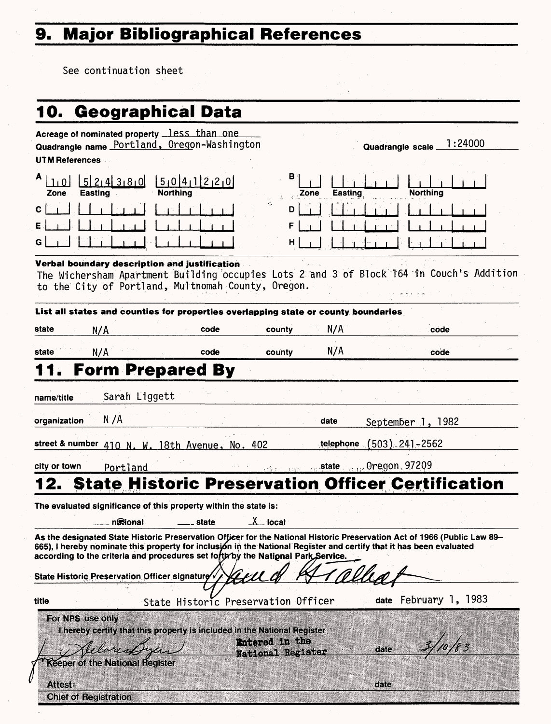# **9. Major Bibliographical References**

See continuation sheet

| 10. Geographical Data                                                                                                                                                                                                                                                                                                               |                                                                          |                                     |                 |                                                                                 |  |
|-------------------------------------------------------------------------------------------------------------------------------------------------------------------------------------------------------------------------------------------------------------------------------------------------------------------------------------|--------------------------------------------------------------------------|-------------------------------------|-----------------|---------------------------------------------------------------------------------|--|
| Acreage of nominated property less than one<br>Quadrangle name Portland, Oregon-Washington<br><b>UTM References</b>                                                                                                                                                                                                                 |                                                                          |                                     |                 | 1:24000<br><b>Quadrangle scale</b>                                              |  |
| 5 2 4 3 8 0 <br><b>Easting</b><br>Zone                                                                                                                                                                                                                                                                                              | 5 0 4 1 2 2 0 <br><b>Northing</b>                                        | в                                   | Easting<br>Zone | <b>Northing</b>                                                                 |  |
| С<br>Е<br>G                                                                                                                                                                                                                                                                                                                         |                                                                          | Č.<br>D<br>F<br>н                   |                 |                                                                                 |  |
| Verbal boundary description and justification<br>The Wichersham Apartment Building occupies Lots 2 and 3 of Block 164 in Couch's Addition<br>to the City of Portland, Multnomah County, Oregon.                                                                                                                                     |                                                                          |                                     |                 |                                                                                 |  |
| List all states and counties for properties overlapping state or county boundaries                                                                                                                                                                                                                                                  |                                                                          |                                     |                 |                                                                                 |  |
| state<br>N/A                                                                                                                                                                                                                                                                                                                        | code                                                                     | county                              | N/A             | code                                                                            |  |
| N/A<br>state                                                                                                                                                                                                                                                                                                                        | code                                                                     | county                              | N/A             | code                                                                            |  |
|                                                                                                                                                                                                                                                                                                                                     | <b>Form Prepared By</b>                                                  |                                     |                 |                                                                                 |  |
| Sarah Liggett<br>name/title<br>N /A                                                                                                                                                                                                                                                                                                 |                                                                          |                                     |                 |                                                                                 |  |
| organization                                                                                                                                                                                                                                                                                                                        |                                                                          |                                     | date            | September 1, 1982                                                               |  |
| street & number 410 N. W. 18th Avenue, No. 402                                                                                                                                                                                                                                                                                      |                                                                          |                                     | telephone       | $(503)$ 241-2562                                                                |  |
| city or town<br>Portland                                                                                                                                                                                                                                                                                                            |                                                                          |                                     |                 | $\sigma_{\rm{max}}$ $\sigma_{\rm{max}}$ state $\sigma_{\rm{max}}$ Oregon, 97209 |  |
|                                                                                                                                                                                                                                                                                                                                     |                                                                          |                                     |                 | <b>State Historic Preservation Officer Certification</b>                        |  |
| The evaluated significance of this property within the state is:                                                                                                                                                                                                                                                                    |                                                                          |                                     |                 |                                                                                 |  |
| ngional                                                                                                                                                                                                                                                                                                                             | state                                                                    | $X$ local                           |                 |                                                                                 |  |
| As the designated State Historic Preservation Officer for the National Historic Preservation Act of 1966 (Public Law 89-<br>665), I hereby nominate this property for inclusion in the National Register and certify that it has been evaluated<br>according to the criteria and procedures set forth by the National Park Service. |                                                                          |                                     |                 |                                                                                 |  |
| State Historic Preservation Officer signature                                                                                                                                                                                                                                                                                       |                                                                          |                                     |                 |                                                                                 |  |
| title                                                                                                                                                                                                                                                                                                                               | State Historic Preservation Officer                                      |                                     |                 | date February 1, 1983                                                           |  |
| For NPS use only<br><b>Keeper of the National Register</b>                                                                                                                                                                                                                                                                          | I hereby certify that this property is included in the National Register | Entered in the<br>National Register |                 | date                                                                            |  |
| <b>Attest:</b><br><b>Chief of Registration</b>                                                                                                                                                                                                                                                                                      |                                                                          |                                     |                 | date                                                                            |  |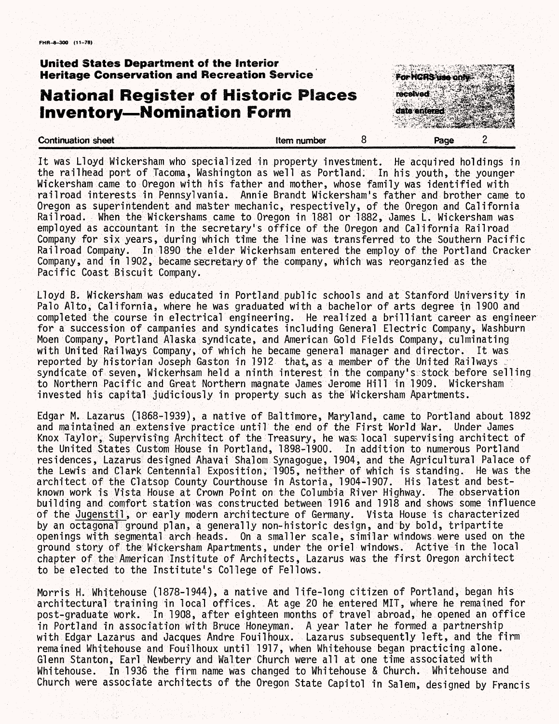### **United States Department of the interior ( Heritage Conservation and Recreation Service :**

## **National Register of Historic Places Inventory — Nomination Form**

**Continuation sheet 200 and 200 and 200 and 200 and 200 and 200 and 200 and 200 and 200 and 200 and 200 and 200 and 200 and 200 and 200 and 200 and 200 and 200 and 200 and 200 and 200 and 200 and 200 and 200 and 200 and 20** 



It was Lloyd Wickersham who specialized in property investment. He acquired holdings in the railhead port of Tacoma, Washington as well as Portland. In his youth, the younger Wiekersham came to Oregon with his father and mother, whose family was identified with railroad interests in Pennsylvania. Annie Brandt Wickersham's father and brother came to Oregon as superintendent and master mechanic, respectively, of the Oregon and California Railroad, When the Wickershams came to Oregon in 1881 or 1882, James L. Wiekersham was employed as accountant in the secretary's office of the Oregon and California Railroad Company for six years, during which time the line was transferred to the Southern Pacific Railroad Company. In 1890 the elder Wickerhsam entered the employ of the Portland Cracker Company, and in 1 902, became secretary of the company , which was reorganzied as the Pacific Coast Biscuit Company.

Lloyd B. Wiekersham was educated in Portland public schools and at Stanford University in Palo Alto, California, where he was graduated with a bachelor of arts degree in 1900 and completed the course in electrical engineering. He realized a brilliant career as engineer for a succession of campanies and syndicates including General Electric Company, Washburn Moen Company, Portland Alaska syndicate, and American Gold Fields Company, culminating with United Railways Company, of which he became general manager and director. It was reported by historian Joseph Gaston in 1912 that, as a member of the United Railways syndicate of seven, Wickerhsam held a ninth interest in the company's stock before selling to Northern Pacific and Great Northern magnate James Jerome Hill in 1909. Wiekersham ' invested his capital judiciously in property such as the Wiekersham Apartments.

Edgar M. Lazarus (1868-1939), a native of Baltimore, Maryland, came to Portland about 1892 and maintained an extensive practice until the end of the First World War. Under James Knox Taylor, Supervising Architect of the Treasury, he was local supervising architect of the United States Custom House in Portland, 1898-1900. In addition to numerous Portland residences, Lazarus designed Ahavai Shalom Synagogue, 1904, and the Agricultural Palace of the Lewis and Clark Centennial Exposition, 1905, neither of which is standing. He was the architect of the Clatsop County Courthouse in Astoria, 1904-1907. His latest and bestknown work is Vista House at Crown Point on the Columbia River Highway. The observation building and comfort station was constructed between 1916 and 1918 and shows some influence of the Jugenstii, or early modern architecture of Germany. Vista House is characterized by an octagonal ground plan, a generally non-historic design, and by bold, tripartite openings with segmental arch heads. On a smaller scale, similar windows were used on the ground story of the Wiekersham Apartments, under the oriel windows. Active in the local chapter of the American Institute of Architects, Lazarus was the first Oregon architect to be elected to the Institute's College of Fellows.

Morris H, Whitehouse (1878-1944), a native and life-long citizen of Portland-began his architectural training in local offices. At age 20 he entered MIT, where he remained for post-graduate work. In 1908, after eighteen months of travel abroad, he opened an office in Portland in association with Bruce Honeyman. A year later he formed a partnership with Edgar Lazarus and Jacques Andre Fouilhoux. Lazarus subsequently left, and the firm remained Whitehouse and Fouilhoux until 1917, when Whitehouse began practicing alone. Glenn Stanton, Earl Newberry and Walter Church were all at one time associated with Whitehouse. In 1936 the firm name was changed to Whitehouse & Church. Whitehouse and Church were associate architects of the Oregon State Capitol in Salem, designed by Francis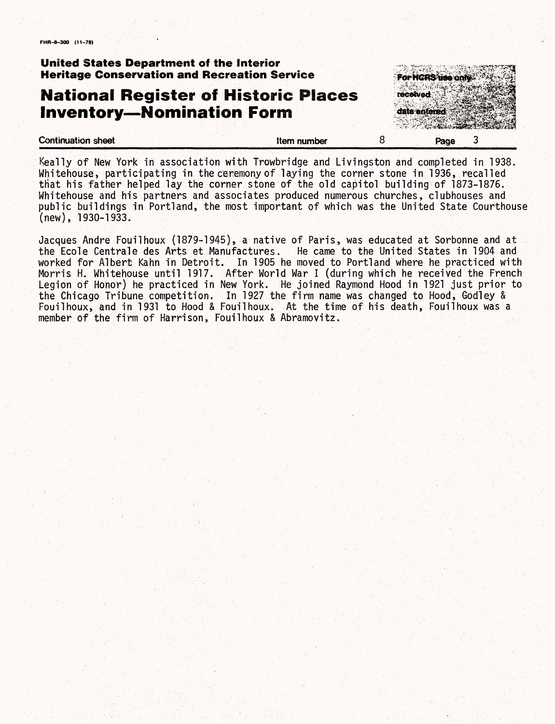### **United States Department of the interior Heritage Conservation and Recreation Service**

## **National Register of Historic Places Inventory—Nomination Form**



Keally of New York in association with Trowbridge and Livings-ton and completed in 1938. Whitehouse, participating in the ceremony of laying the corner stone in 1936, recalled .that his father helped lay the corner stone of the old capitol building of 1873-1876. Whitehouse and his partners and associates produced numerous churches, clubhouses and public buildings in Portland, the most important of which was the United State Courthouse (new), 1930-1933.

Jacques Andre Fouilhoux (1879-1945), a native of Paris, was educated at Sorbonne and at the Ecole Centraledes Arts et Manufactures. He came to the United States in 1904 and worked for Albert Kahn in Detroit. In 1905 he moved to Portland where he practiced with Morris H, Whitehouse until 1917. After World War I (during which he received the French Legion of Honor) he practiced in New York. He joined Raymond Hood in 1921 just prior to the Chicago Tribune competition. In 1927 the firm name was changed to Hood, Godley & Fouilhoux, and in 1931 to Hood & Fouilhoux. At the time of his death, Fouilhoux was a member of the firm of Harrison, Fouilhoux & Abramovitz,